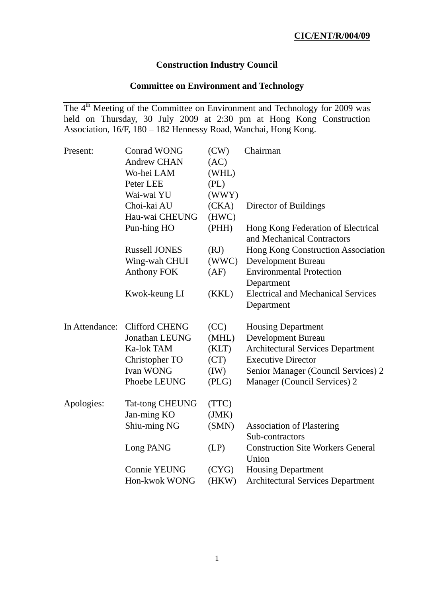# **Construction Industry Council**

# **Committee on Environment and Technology**

The 4<sup>th</sup> Meeting of the Committee on Environment and Technology for 2009 was held on Thursday, 30 July 2009 at 2:30 pm at Hong Kong Construction Association, 16/F, 180 – 182 Hennessy Road, Wanchai, Hong Kong.

| Present:       | <b>Conrad WONG</b>     | (CW)  | Chairman                                                         |
|----------------|------------------------|-------|------------------------------------------------------------------|
|                | <b>Andrew CHAN</b>     | (AC)  |                                                                  |
|                | Wo-hei LAM             | (WHL) |                                                                  |
|                | Peter LEE              | (PL)  |                                                                  |
|                | Wai-wai YU             | (WWY) |                                                                  |
|                | Choi-kai AU            | (CKA) | Director of Buildings                                            |
|                | Hau-wai CHEUNG         | (HWC) |                                                                  |
|                | Pun-hing HO            | (PHH) | Hong Kong Federation of Electrical<br>and Mechanical Contractors |
|                | <b>Russell JONES</b>   | (RJ)  | Hong Kong Construction Association                               |
|                | Wing-wah CHUI          | (WWC) | <b>Development Bureau</b>                                        |
|                | <b>Anthony FOK</b>     | (AF)  | <b>Environmental Protection</b>                                  |
|                |                        |       | Department                                                       |
|                | Kwok-keung LI          | (KKL) | <b>Electrical and Mechanical Services</b><br>Department          |
| In Attendance: | <b>Clifford CHENG</b>  | (CC)  | <b>Housing Department</b>                                        |
|                | Jonathan LEUNG         | (MHL) | <b>Development Bureau</b>                                        |
|                | Ka-lok TAM             | (KLT) | <b>Architectural Services Department</b>                         |
|                | Christopher TO         | (CT)  | <b>Executive Director</b>                                        |
|                | <b>Ivan WONG</b>       | (IW)  | Senior Manager (Council Services) 2                              |
|                | Phoebe LEUNG           | (PLG) | Manager (Council Services) 2                                     |
| Apologies:     | <b>Tat-tong CHEUNG</b> | (TTC) |                                                                  |
|                | Jan-ming KO            | (JMK) |                                                                  |
|                | Shiu-ming NG           | (SMN) | <b>Association of Plastering</b><br>Sub-contractors              |
|                | Long PANG              | (LP)  | <b>Construction Site Workers General</b><br>Union                |
|                | <b>Connie YEUNG</b>    | (CYG) | <b>Housing Department</b>                                        |
|                | Hon-kwok WONG          | (HKW) | <b>Architectural Services Department</b>                         |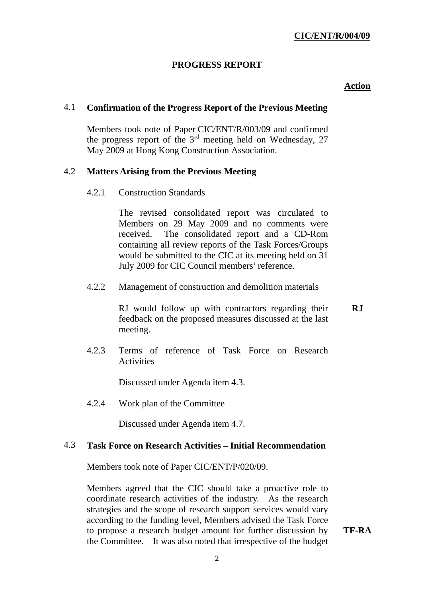# **PROGRESS REPORT**

# **Action**

# 4.1 **Confirmation of the Progress Report of the Previous Meeting**

 Members took note of Paper CIC/ENT/R/003/09 and confirmed the progress report of the  $3<sup>rd</sup>$  meeting held on Wednesday, 27 May 2009 at Hong Kong Construction Association.

### 4.2 **Matters Arising from the Previous Meeting**

4.2.1 Construction Standards

The revised consolidated report was circulated to Members on 29 May 2009 and no comments were received. The consolidated report and a CD-Rom containing all review reports of the Task Forces/Groups would be submitted to the CIC at its meeting held on 31 July 2009 for CIC Council members' reference.

4.2.2 Management of construction and demolition materials

RJ would follow up with contractors regarding their feedback on the proposed measures discussed at the last meeting. **RJ** 

 4.2.3 Terms of reference of Task Force on Research **Activities** 

Discussed under Agenda item 4.3.

4.2.4 Work plan of the Committee

Discussed under Agenda item 4.7.

### 4.3 **Task Force on Research Activities – Initial Recommendation**

Members took note of Paper CIC/ENT/P/020/09.

Members agreed that the CIC should take a proactive role to coordinate research activities of the industry. As the research strategies and the scope of research support services would vary according to the funding level, Members advised the Task Force to propose a research budget amount for further discussion by the Committee. It was also noted that irrespective of the budget

**TF-RA**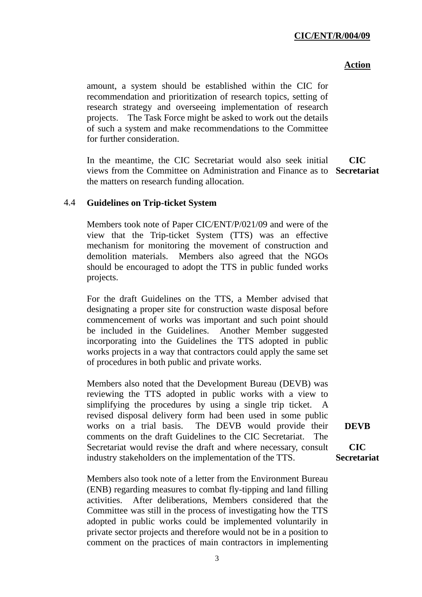#### **Action**

amount, a system should be established within the CIC for recommendation and prioritization of research topics, setting of research strategy and overseeing implementation of research projects. The Task Force might be asked to work out the details of such a system and make recommendations to the Committee for further consideration.

In the meantime, the CIC Secretariat would also seek initial views from the Committee on Administration and Finance as to **Secretariat** the matters on research funding allocation. **CIC** 

### 4.4 **Guidelines on Trip-ticket System**

 Members took note of Paper CIC/ENT/P/021/09 and were of the view that the Trip-ticket System (TTS) was an effective mechanism for monitoring the movement of construction and demolition materials. Members also agreed that the NGOs should be encouraged to adopt the TTS in public funded works projects.

For the draft Guidelines on the TTS, a Member advised that designating a proper site for construction waste disposal before commencement of works was important and such point should be included in the Guidelines. Another Member suggested incorporating into the Guidelines the TTS adopted in public works projects in a way that contractors could apply the same set of procedures in both public and private works.

Members also noted that the Development Bureau (DEVB) was reviewing the TTS adopted in public works with a view to simplifying the procedures by using a single trip ticket. A revised disposal delivery form had been used in some public works on a trial basis. The DEVB would provide their comments on the draft Guidelines to the CIC Secretariat. The Secretariat would revise the draft and where necessary, consult industry stakeholders on the implementation of the TTS.

Members also took note of a letter from the Environment Bureau (ENB) regarding measures to combat fly-tipping and land filling activities. After deliberations, Members considered that the Committee was still in the process of investigating how the TTS adopted in public works could be implemented voluntarily in private sector projects and therefore would not be in a position to comment on the practices of main contractors in implementing **DEVB** 

**CIC Secretariat**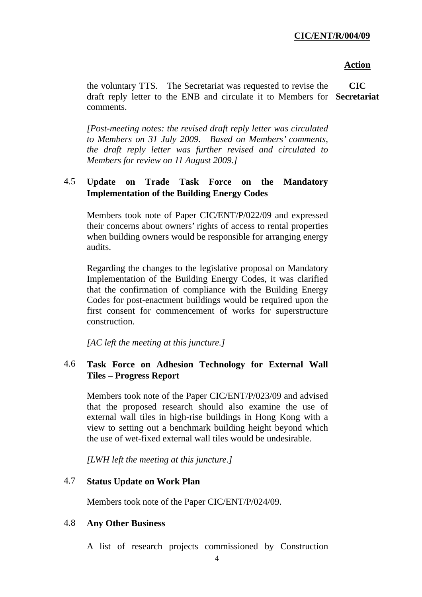#### **Action**

the voluntary TTS. The Secretariat was requested to revise the draft reply letter to the ENB and circulate it to Members for **Secretariat** comments. **CIC** 

*[Post-meeting notes: the revised draft reply letter was circulated to Members on 31 July 2009. Based on Members' comments, the draft reply letter was further revised and circulated to Members for review on 11 August 2009.]* 

# 4.5 **Update on Trade Task Force on the Mandatory Implementation of the Building Energy Codes**

 Members took note of Paper CIC/ENT/P/022/09 and expressed their concerns about owners' rights of access to rental properties when building owners would be responsible for arranging energy audits.

Regarding the changes to the legislative proposal on Mandatory Implementation of the Building Energy Codes, it was clarified that the confirmation of compliance with the Building Energy Codes for post-enactment buildings would be required upon the first consent for commencement of works for superstructure construction.

*[AC left the meeting at this juncture.]* 

# 4.6 **Task Force on Adhesion Technology for External Wall Tiles – Progress Report**

 Members took note of the Paper CIC/ENT/P/023/09 and advised that the proposed research should also examine the use of external wall tiles in high-rise buildings in Hong Kong with a view to setting out a benchmark building height beyond which the use of wet-fixed external wall tiles would be undesirable.

*[LWH left the meeting at this juncture.]* 

# 4.7 **Status Update on Work Plan**

Members took note of the Paper CIC/ENT/P/024/09.

#### 4.8 **Any Other Business**

A list of research projects commissioned by Construction